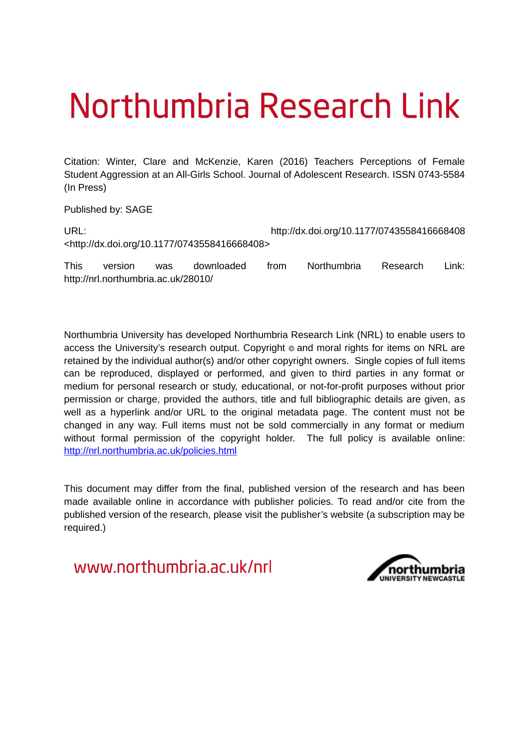# Northumbria Research Link

Citation: Winter, Clare and McKenzie, Karen (2016) Teachers Perceptions of Female Student Aggression at an All-Girls School. Journal of Adolescent Research. ISSN 0743-5584 (In Press)

Published by: SAGE

URL: http://dx.doi.org/10.1177/0743558416668408 <http://dx.doi.org/10.1177/0743558416668408>

This version was downloaded from Northumbria Research Link: http://nrl.northumbria.ac.uk/28010/

Northumbria University has developed Northumbria Research Link (NRL) to enable users to access the University's research output. Copyright  $\circ$  and moral rights for items on NRL are retained by the individual author(s) and/or other copyright owners. Single copies of full items can be reproduced, displayed or performed, and given to third parties in any format or medium for personal research or study, educational, or not-for-profit purposes without prior permission or charge, provided the authors, title and full bibliographic details are given, as well as a hyperlink and/or URL to the original metadata page. The content must not be changed in any way. Full items must not be sold commercially in any format or medium without formal permission of the copyright holder. The full policy is available online: <http://nrl.northumbria.ac.uk/policies.html>

This document may differ from the final, published version of the research and has been made available online in accordance with publisher policies. To read and/or cite from the published version of the research, please visit the publisher's website (a subscription may be required.)

www.northumbria.ac.uk/nrl

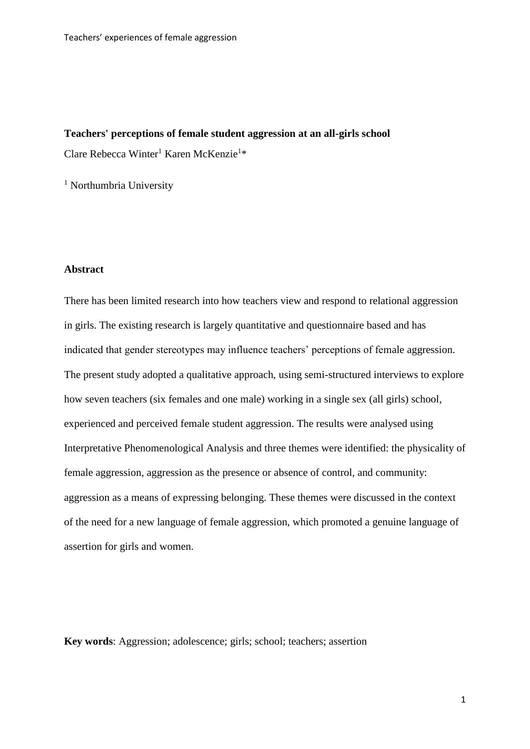# **Teachers' perceptions of female student aggression at an all-girls school**

Clare Rebecca Winter<sup>1</sup> Karen McKenzie<sup>1\*</sup>

<sup>1</sup> Northumbria University

#### **Abstract**

There has been limited research into how teachers view and respond to relational aggression in girls. The existing research is largely quantitative and questionnaire based and has indicated that gender stereotypes may influence teachers' perceptions of female aggression. The present study adopted a qualitative approach, using semi-structured interviews to explore how seven teachers (six females and one male) working in a single sex (all girls) school, experienced and perceived female student aggression. The results were analysed using Interpretative Phenomenological Analysis and three themes were identified: the physicality of female aggression, aggression as the presence or absence of control, and community: aggression as a means of expressing belonging. These themes were discussed in the context of the need for a new language of female aggression, which promoted a genuine language of assertion for girls and women.

**Key words**: Aggression; adolescence; girls; school; teachers; assertion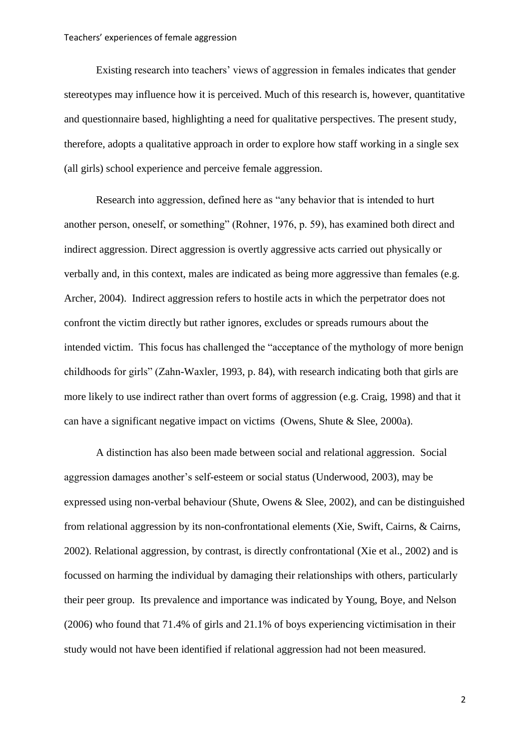Existing research into teachers' views of aggression in females indicates that gender stereotypes may influence how it is perceived. Much of this research is, however, quantitative and questionnaire based, highlighting a need for qualitative perspectives. The present study, therefore, adopts a qualitative approach in order to explore how staff working in a single sex (all girls) school experience and perceive female aggression.

Research into aggression, defined here as "any behavior that is intended to hurt another person, oneself, or something" (Rohner, 1976, p. 59), has examined both direct and indirect aggression. Direct aggression is overtly aggressive acts carried out physically or verbally and, in this context, males are indicated as being more aggressive than females (e.g. Archer, 2004). Indirect aggression refers to hostile acts in which the perpetrator does not confront the victim directly but rather ignores, excludes or spreads rumours about the intended victim. This focus has challenged the "acceptance of the mythology of more benign childhoods for girls" (Zahn-Waxler, 1993, p. 84), with research indicating both that girls are more likely to use indirect rather than overt forms of aggression (e.g. Craig, 1998) and that it can have a significant negative impact on victims (Owens, Shute & Slee, 2000a).

A distinction has also been made between social and relational aggression. Social aggression damages another's self-esteem or social status (Underwood, 2003), may be expressed using non-verbal behaviour (Shute, Owens & Slee, 2002), and can be distinguished from relational aggression by its non-confrontational elements (Xie, Swift, Cairns, & Cairns, 2002). Relational aggression, by contrast, is directly confrontational (Xie et al., 2002) and is focussed on harming the individual by damaging their relationships with others, particularly their peer group. Its prevalence and importance was indicated by Young, Boye, and Nelson (2006) who found that 71.4% of girls and 21.1% of boys experiencing victimisation in their study would not have been identified if relational aggression had not been measured.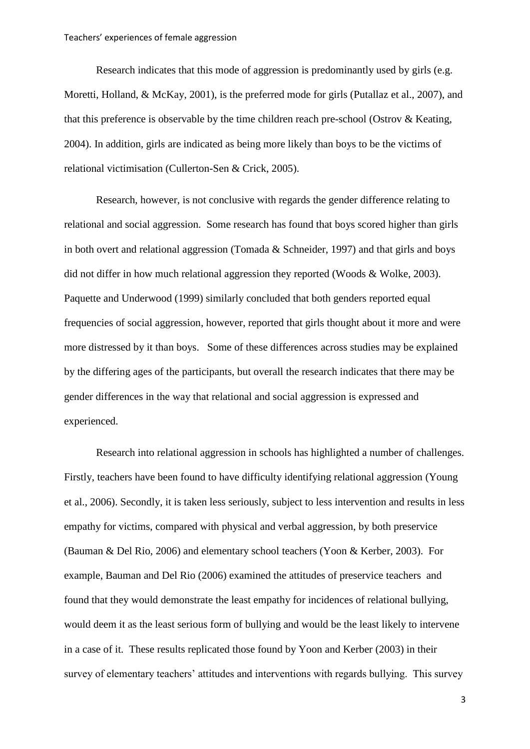Research indicates that this mode of aggression is predominantly used by girls (e.g. Moretti, Holland, & McKay, 2001), is the preferred mode for girls (Putallaz et al., 2007), and that this preference is observable by the time children reach pre-school (Ostrov & Keating, 2004). In addition, girls are indicated as being more likely than boys to be the victims of relational victimisation (Cullerton-Sen & Crick, 2005).

Research, however, is not conclusive with regards the gender difference relating to relational and social aggression. Some research has found that boys scored higher than girls in both overt and relational aggression (Tomada & Schneider, 1997) and that girls and boys did not differ in how much relational aggression they reported (Woods & Wolke, 2003). Paquette and Underwood (1999) similarly concluded that both genders reported equal frequencies of social aggression, however, reported that girls thought about it more and were more distressed by it than boys. Some of these differences across studies may be explained by the differing ages of the participants, but overall the research indicates that there may be gender differences in the way that relational and social aggression is expressed and experienced.

 Research into relational aggression in schools has highlighted a number of challenges. Firstly, teachers have been found to have difficulty identifying relational aggression (Young et al., 2006). Secondly, it is taken less seriously, subject to less intervention and results in less empathy for victims, compared with physical and verbal aggression, by both preservice (Bauman & Del Rio, 2006) and elementary school teachers (Yoon & Kerber, 2003). For example, Bauman and Del Rio (2006) examined the attitudes of preservice teachers and found that they would demonstrate the least empathy for incidences of relational bullying, would deem it as the least serious form of bullying and would be the least likely to intervene in a case of it. These results replicated those found by Yoon and Kerber (2003) in their survey of elementary teachers' attitudes and interventions with regards bullying. This survey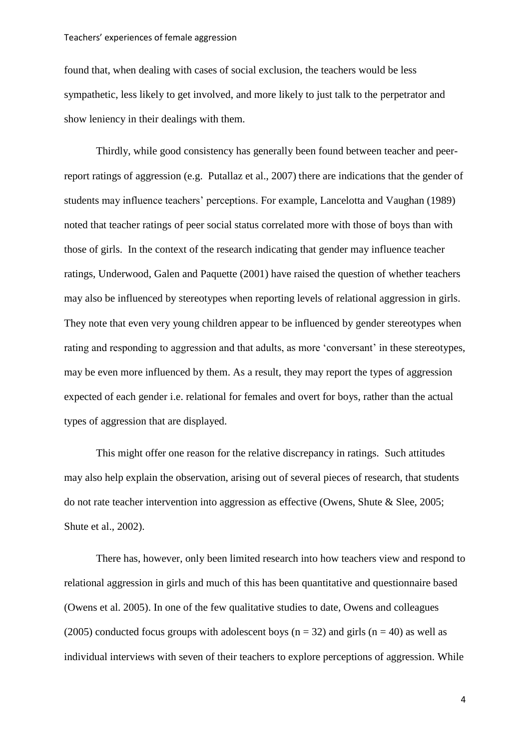found that, when dealing with cases of social exclusion, the teachers would be less sympathetic, less likely to get involved, and more likely to just talk to the perpetrator and show leniency in their dealings with them.

Thirdly, while good consistency has generally been found between teacher and peerreport ratings of aggression (e.g. Putallaz et al., 2007) there are indications that the gender of students may influence teachers' perceptions. For example, Lancelotta and Vaughan (1989) noted that teacher ratings of peer social status correlated more with those of boys than with those of girls. In the context of the research indicating that gender may influence teacher ratings, Underwood, Galen and Paquette (2001) have raised the question of whether teachers may also be influenced by stereotypes when reporting levels of relational aggression in girls. They note that even very young children appear to be influenced by gender stereotypes when rating and responding to aggression and that adults, as more 'conversant' in these stereotypes, may be even more influenced by them. As a result, they may report the types of aggression expected of each gender i.e. relational for females and overt for boys, rather than the actual types of aggression that are displayed.

This might offer one reason for the relative discrepancy in ratings. Such attitudes may also help explain the observation, arising out of several pieces of research, that students do not rate teacher intervention into aggression as effective (Owens, Shute & Slee, 2005; Shute et al., 2002).

 There has, however, only been limited research into how teachers view and respond to relational aggression in girls and much of this has been quantitative and questionnaire based (Owens et al. 2005). In one of the few qualitative studies to date, Owens and colleagues (2005) conducted focus groups with adolescent boys ( $n = 32$ ) and girls ( $n = 40$ ) as well as individual interviews with seven of their teachers to explore perceptions of aggression. While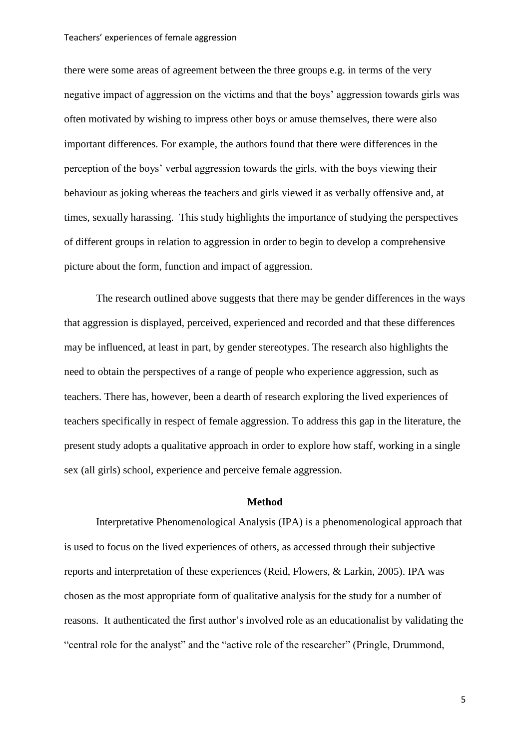there were some areas of agreement between the three groups e.g. in terms of the very negative impact of aggression on the victims and that the boys' aggression towards girls was often motivated by wishing to impress other boys or amuse themselves, there were also important differences. For example, the authors found that there were differences in the perception of the boys' verbal aggression towards the girls, with the boys viewing their behaviour as joking whereas the teachers and girls viewed it as verbally offensive and, at times, sexually harassing. This study highlights the importance of studying the perspectives of different groups in relation to aggression in order to begin to develop a comprehensive picture about the form, function and impact of aggression.

The research outlined above suggests that there may be gender differences in the ways that aggression is displayed, perceived, experienced and recorded and that these differences may be influenced, at least in part, by gender stereotypes. The research also highlights the need to obtain the perspectives of a range of people who experience aggression, such as teachers. There has, however, been a dearth of research exploring the lived experiences of teachers specifically in respect of female aggression. To address this gap in the literature, the present study adopts a qualitative approach in order to explore how staff, working in a single sex (all girls) school, experience and perceive female aggression.

# **Method**

Interpretative Phenomenological Analysis (IPA) is a phenomenological approach that is used to focus on the lived experiences of others, as accessed through their subjective reports and interpretation of these experiences (Reid, Flowers, & Larkin, 2005). IPA was chosen as the most appropriate form of qualitative analysis for the study for a number of reasons. It authenticated the first author's involved role as an educationalist by validating the "central role for the analyst" and the "active role of the researcher" (Pringle, Drummond,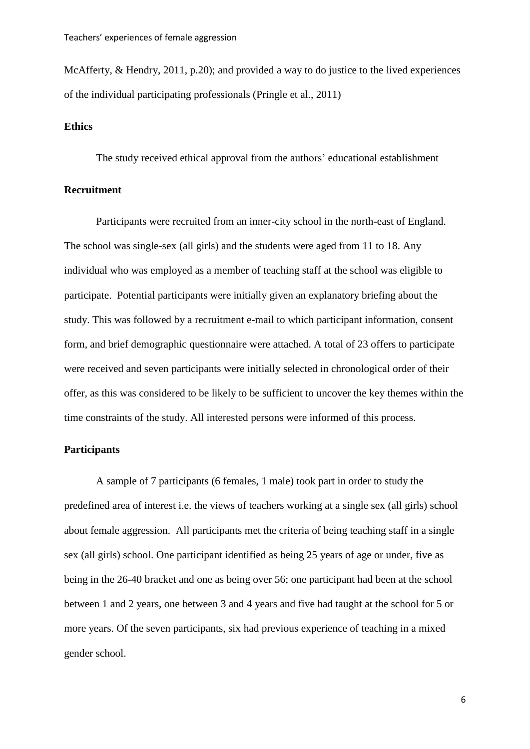McAfferty, & Hendry, 2011, p.20); and provided a way to do justice to the lived experiences of the individual participating professionals (Pringle et al., 2011)

# **Ethics**

The study received ethical approval from the authors' educational establishment

# **Recruitment**

Participants were recruited from an inner-city school in the north-east of England. The school was single-sex (all girls) and the students were aged from 11 to 18. Any individual who was employed as a member of teaching staff at the school was eligible to participate. Potential participants were initially given an explanatory briefing about the study. This was followed by a recruitment e-mail to which participant information, consent form, and brief demographic questionnaire were attached. A total of 23 offers to participate were received and seven participants were initially selected in chronological order of their offer, as this was considered to be likely to be sufficient to uncover the key themes within the time constraints of the study. All interested persons were informed of this process.

#### **Participants**

A sample of 7 participants (6 females, 1 male) took part in order to study the predefined area of interest i.e. the views of teachers working at a single sex (all girls) school about female aggression. All participants met the criteria of being teaching staff in a single sex (all girls) school. One participant identified as being 25 years of age or under, five as being in the 26-40 bracket and one as being over 56; one participant had been at the school between 1 and 2 years, one between 3 and 4 years and five had taught at the school for 5 or more years. Of the seven participants, six had previous experience of teaching in a mixed gender school.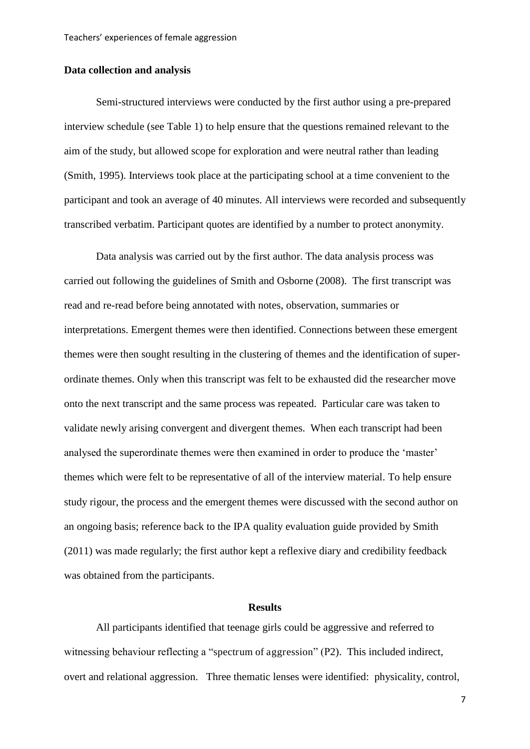# **Data collection and analysis**

Semi-structured interviews were conducted by the first author using a pre-prepared interview schedule (see Table 1) to help ensure that the questions remained relevant to the aim of the study, but allowed scope for exploration and were neutral rather than leading (Smith, 1995). Interviews took place at the participating school at a time convenient to the participant and took an average of 40 minutes. All interviews were recorded and subsequently transcribed verbatim. Participant quotes are identified by a number to protect anonymity.

Data analysis was carried out by the first author. The data analysis process was carried out following the guidelines of Smith and Osborne (2008). The first transcript was read and re-read before being annotated with notes, observation, summaries or interpretations. Emergent themes were then identified. Connections between these emergent themes were then sought resulting in the clustering of themes and the identification of superordinate themes. Only when this transcript was felt to be exhausted did the researcher move onto the next transcript and the same process was repeated. Particular care was taken to validate newly arising convergent and divergent themes. When each transcript had been analysed the superordinate themes were then examined in order to produce the 'master' themes which were felt to be representative of all of the interview material. To help ensure study rigour, the process and the emergent themes were discussed with the second author on an ongoing basis; reference back to the IPA quality evaluation guide provided by Smith (2011) was made regularly; the first author kept a reflexive diary and credibility feedback was obtained from the participants.

#### **Results**

All participants identified that teenage girls could be aggressive and referred to witnessing behaviour reflecting a "spectrum of aggression" (P2). This included indirect, overt and relational aggression. Three thematic lenses were identified: physicality, control,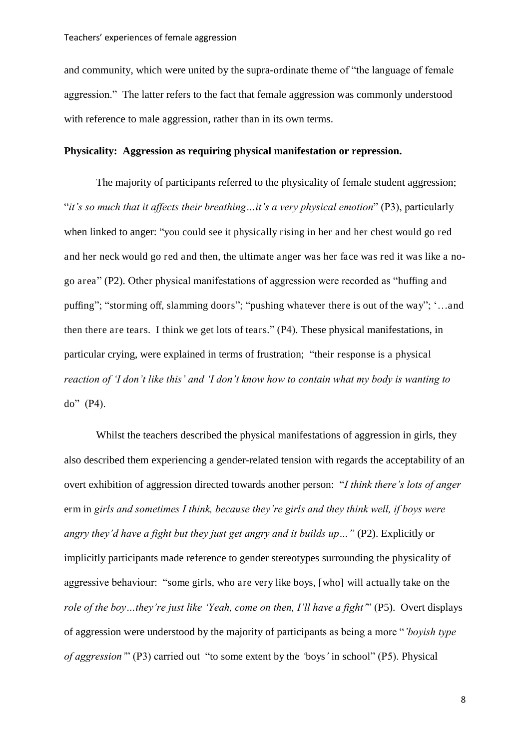and community, which were united by the supra-ordinate theme of "the language of female aggression." The latter refers to the fact that female aggression was commonly understood with reference to male aggression, rather than in its own terms.

# **Physicality: Aggression as requiring physical manifestation or repression.**

The majority of participants referred to the physicality of female student aggression; "*it's so much that it affects their breathing…it's a very physical emotion*" (P3), particularly when linked to anger: "you could see it physically rising in her and her chest would go red and her neck would go red and then, the ultimate anger was her face was red it was like a nogo area" (P2). Other physical manifestations of aggression were recorded as "huffing and puffing"; "storming off, slamming doors"; "pushing whatever there is out of the way"; '…and then there are tears. I think we get lots of tears." (P4). These physical manifestations, in particular crying, were explained in terms of frustration; "their response is a physical *reaction of 'I don't like this' and 'I don't know how to contain what my body is wanting to*  do" (P4).

Whilst the teachers described the physical manifestations of aggression in girls, they also described them experiencing a gender-related tension with regards the acceptability of an overt exhibition of aggression directed towards another person: "*I think there's lots of anger*  erm in *girls and sometimes I think, because they're girls and they think well, if boys were angry they'd have a fight but they just get angry and it builds up…"* (P2). Explicitly or implicitly participants made reference to gender stereotypes surrounding the physicality of aggressive behaviour: "some girls, who are very like boys, [who] will actually take on the *role of the boy…they're just like 'Yeah, come on then, I'll have a fight'*" (P5). Overt displays of aggression were understood by the majority of participants as being a more "*'boyish type of aggression'*" (P3) carried out "to some extent by the *'*boys*'* in school" (P5). Physical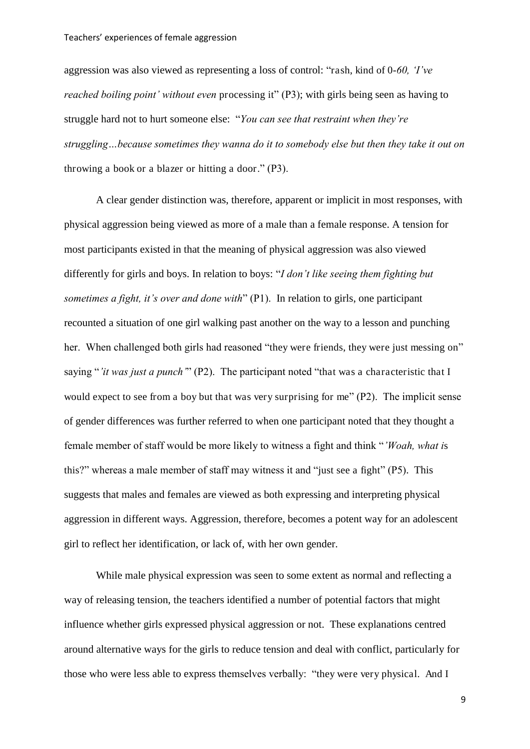aggression was also viewed as representing a loss of control: "rash, kind of 0-*60, 'I've reached boiling point' without even* processing it" (P3); with girls being seen as having to struggle hard not to hurt someone else: "*You can see that restraint when they're struggling…because sometimes they wanna do it to somebody else but then they take it out on*  throwing a book or a blazer or hitting a door." (P3).

 A clear gender distinction was, therefore, apparent or implicit in most responses, with physical aggression being viewed as more of a male than a female response. A tension for most participants existed in that the meaning of physical aggression was also viewed differently for girls and boys. In relation to boys: "*I don't like seeing them fighting but sometimes a fight, it's over and done with*" (P1). In relation to girls, one participant recounted a situation of one girl walking past another on the way to a lesson and punching her. When challenged both girls had reasoned "they were friends, they were just messing on" saying "*'it was just a punch'*" (P2). The participant noted "that was a characteristic that I would expect to see from a boy but that was very surprising for me" (P2). The implicit sense of gender differences was further referred to when one participant noted that they thought a female member of staff would be more likely to witness a fight and think "*'Woah, what i*s this?" whereas a male member of staff may witness it and "just see a fight" (P5). This suggests that males and females are viewed as both expressing and interpreting physical aggression in different ways. Aggression, therefore, becomes a potent way for an adolescent girl to reflect her identification, or lack of, with her own gender.

 While male physical expression was seen to some extent as normal and reflecting a way of releasing tension, the teachers identified a number of potential factors that might influence whether girls expressed physical aggression or not. These explanations centred around alternative ways for the girls to reduce tension and deal with conflict, particularly for those who were less able to express themselves verbally: "they were very physical. And I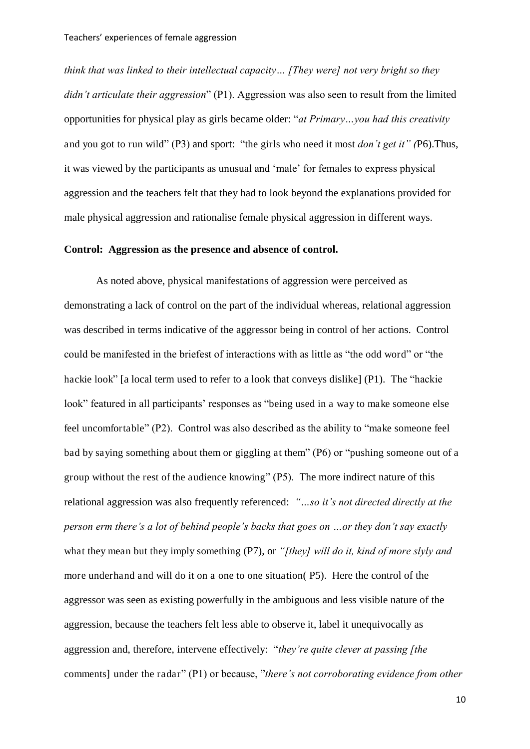*think that was linked to their intellectual capacity… [They were] not very bright so they didn't articulate their aggression*" (P1). Aggression was also seen to result from the limited opportunities for physical play as girls became older: "*at Primary…you had this creativity*  and you got to run wild" (P3) and sport: "the girls who need it most *don't get it" (*P6).Thus, it was viewed by the participants as unusual and 'male' for females to express physical aggression and the teachers felt that they had to look beyond the explanations provided for male physical aggression and rationalise female physical aggression in different ways.

#### **Control: Aggression as the presence and absence of control.**

As noted above, physical manifestations of aggression were perceived as demonstrating a lack of control on the part of the individual whereas, relational aggression was described in terms indicative of the aggressor being in control of her actions. Control could be manifested in the briefest of interactions with as little as "the odd word" or "the hackie look" [a local term used to refer to a look that conveys dislike] (P1). The "hackie look" featured in all participants' responses as "being used in a way to make someone else feel uncomfortable" (P2). Control was also described as the ability to "make someone feel bad by saying something about them or giggling at them" (P6) or "pushing someone out of a group without the rest of the audience knowing" (P5). The more indirect nature of this relational aggression was also frequently referenced: *"…so it's not directed directly at the person erm there's a lot of behind people's backs that goes on …or they don't say exactly*  what they mean but they imply something (P7), or *"[they] will do it, kind of more slyly and* more underhand and will do it on a one to one situation( P5). Here the control of the aggressor was seen as existing powerfully in the ambiguous and less visible nature of the aggression, because the teachers felt less able to observe it, label it unequivocally as aggression and, therefore, intervene effectively: "*they're quite clever at passing [the*  comments] under the radar" (P1) or because, "*there's not corroborating evidence from other*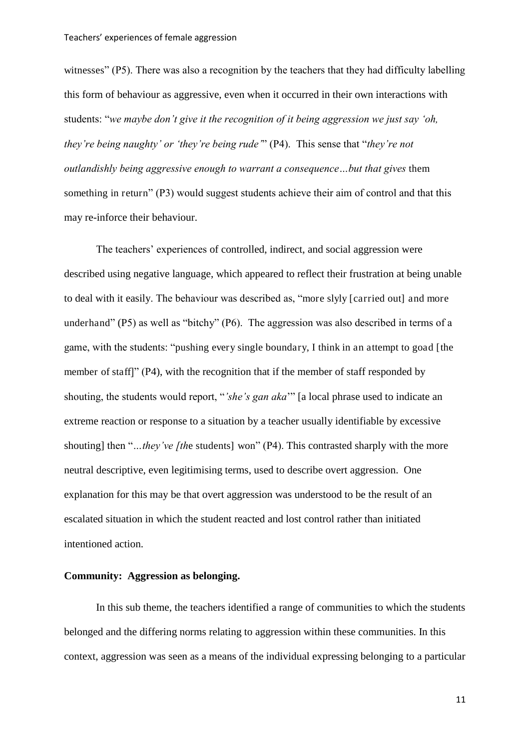witnesses" (P5). There was also a recognition by the teachers that they had difficulty labelling this form of behaviour as aggressive, even when it occurred in their own interactions with students: "*we maybe don't give it the recognition of it being aggression we just say 'oh, they're being naughty' or 'they're being rude'*" (P4). This sense that "*they're not outlandishly being aggressive enough to warrant a consequence…but that gives* them something in return" (P3) would suggest students achieve their aim of control and that this may re-inforce their behaviour.

The teachers' experiences of controlled, indirect, and social aggression were described using negative language, which appeared to reflect their frustration at being unable to deal with it easily. The behaviour was described as, "more slyly [carried out] and more underhand" (P5) as well as "bitchy" (P6). The aggression was also described in terms of a game, with the students: "pushing every single boundary, I think in an attempt to goad [the member of staff]" (P4), with the recognition that if the member of staff responded by shouting, the students would report, "*'she's gan aka*'" [a local phrase used to indicate an extreme reaction or response to a situation by a teacher usually identifiable by excessive shouting] then "*…they've [the students]* won" (P4). This contrasted sharply with the more neutral descriptive, even legitimising terms, used to describe overt aggression. One explanation for this may be that overt aggression was understood to be the result of an escalated situation in which the student reacted and lost control rather than initiated intentioned action.

# **Community: Aggression as belonging.**

In this sub theme, the teachers identified a range of communities to which the students belonged and the differing norms relating to aggression within these communities. In this context, aggression was seen as a means of the individual expressing belonging to a particular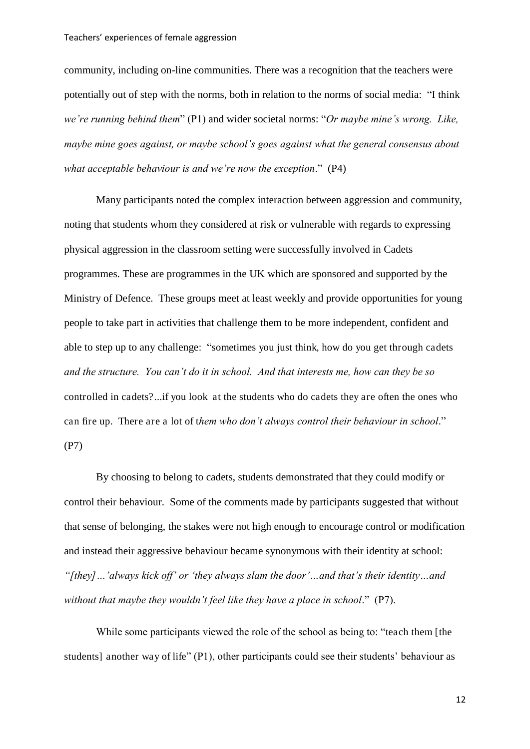community, including on-line communities. There was a recognition that the teachers were potentially out of step with the norms, both in relation to the norms of social media: "I think *we're running behind them*" (P1) and wider societal norms: "*Or maybe mine's wrong. Like, maybe mine goes against, or maybe school's goes against what the general consensus about what acceptable behaviour is and we're now the exception*." (P4)

Many participants noted the complex interaction between aggression and community, noting that students whom they considered at risk or vulnerable with regards to expressing physical aggression in the classroom setting were successfully involved in Cadets programmes. These are programmes in the UK which are sponsored and supported by the Ministry of Defence. These groups meet at least weekly and provide opportunities for young people to take part in activities that challenge them to be more independent, confident and able to step up to any challenge: "sometimes you just think, how do you get through cadets *and the structure. You can't do it in school. And that interests me, how can they be so*  controlled in cadets?...if you look at the students who do cadets they are often the ones who can fire up. There are a lot of t*hem who don't always control their behaviour in school*." (P7)

By choosing to belong to cadets, students demonstrated that they could modify or control their behaviour. Some of the comments made by participants suggested that without that sense of belonging, the stakes were not high enough to encourage control or modification and instead their aggressive behaviour became synonymous with their identity at school: *"[they]…'always kick off' or 'they always slam the door'…and that's their identity…and without that maybe they wouldn't feel like they have a place in school*." (P7).

While some participants viewed the role of the school as being to: "teach them [the students] another way of life" (P1), other participants could see their students' behaviour as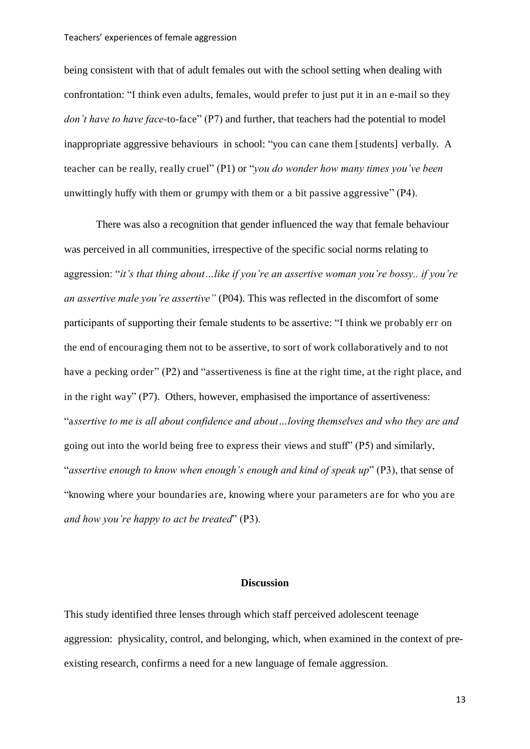being consistent with that of adult females out with the school setting when dealing with confrontation: "I think even adults, females, would prefer to just put it in an e-mail so they *don't have to have face*-to-face" (P7) and further, that teachers had the potential to model inappropriate aggressive behaviours in school: "you can cane them [students] verbally. A teacher can be really, really cruel" (P1) or "*you do wonder how many times you've been*  unwittingly huffy with them or grumpy with them or a bit passive aggressive" (P4).

There was also a recognition that gender influenced the way that female behaviour was perceived in all communities, irrespective of the specific social norms relating to aggression: "*it's that thing about…like if you're an assertive woman you're bossy.. if you're an assertive male you're assertive"* (P04). This was reflected in the discomfort of some participants of supporting their female students to be assertive: "I think we probably err on the end of encouraging them not to be assertive, to sort of work collaboratively and to not have a pecking order" (P2) and "assertiveness is fine at the right time, at the right place, and in the right way" (P7). Others, however, emphasised the importance of assertiveness: "a*ssertive to me is all about confidence and about…loving themselves and who they are and*  going out into the world being free to express their views and stuff" (P5) and similarly, "*assertive enough to know when enough's enough and kind of speak up*" (P3), that sense of "knowing where your boundaries are, knowing where your parameters are for who you are *and how you're happy to act be treated*" (P3).

# **Discussion**

This study identified three lenses through which staff perceived adolescent teenage aggression: physicality, control, and belonging, which, when examined in the context of preexisting research, confirms a need for a new language of female aggression.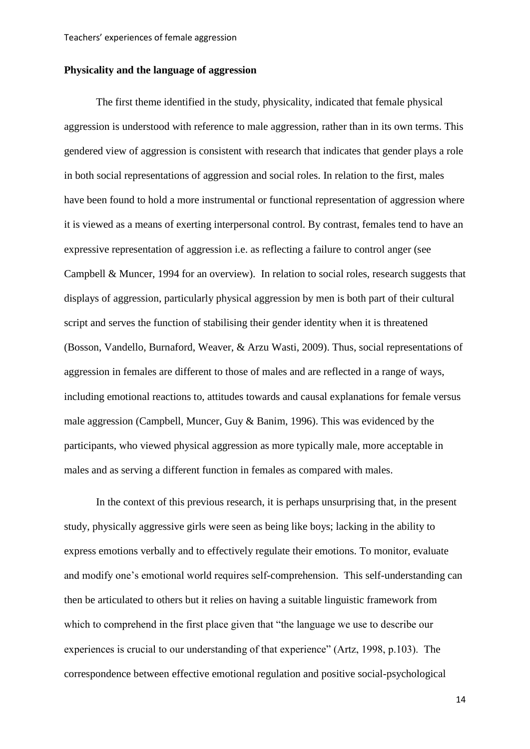# **Physicality and the language of aggression**

The first theme identified in the study, physicality, indicated that female physical aggression is understood with reference to male aggression, rather than in its own terms. This gendered view of aggression is consistent with research that indicates that gender plays a role in both social representations of aggression and social roles. In relation to the first, males have been found to hold a more instrumental or functional representation of aggression where it is viewed as a means of exerting interpersonal control. By contrast, females tend to have an expressive representation of aggression i.e. as reflecting a failure to control anger (see Campbell & Muncer, 1994 for an overview). In relation to social roles, research suggests that displays of aggression, particularly physical aggression by men is both part of their cultural script and serves the function of stabilising their gender identity when it is threatened (Bosson, Vandello, Burnaford, Weaver, & Arzu Wasti, 2009). Thus, social representations of aggression in females are different to those of males and are reflected in a range of ways, including emotional reactions to, attitudes towards and causal explanations for female versus male aggression (Campbell, Muncer, Guy & Banim, 1996). This was evidenced by the participants, who viewed physical aggression as more typically male, more acceptable in males and as serving a different function in females as compared with males.

In the context of this previous research, it is perhaps unsurprising that, in the present study, physically aggressive girls were seen as being like boys; lacking in the ability to express emotions verbally and to effectively regulate their emotions. To monitor, evaluate and modify one's emotional world requires self-comprehension. This self-understanding can then be articulated to others but it relies on having a suitable linguistic framework from which to comprehend in the first place given that "the language we use to describe our experiences is crucial to our understanding of that experience" (Artz, 1998, p.103). The correspondence between effective emotional regulation and positive social-psychological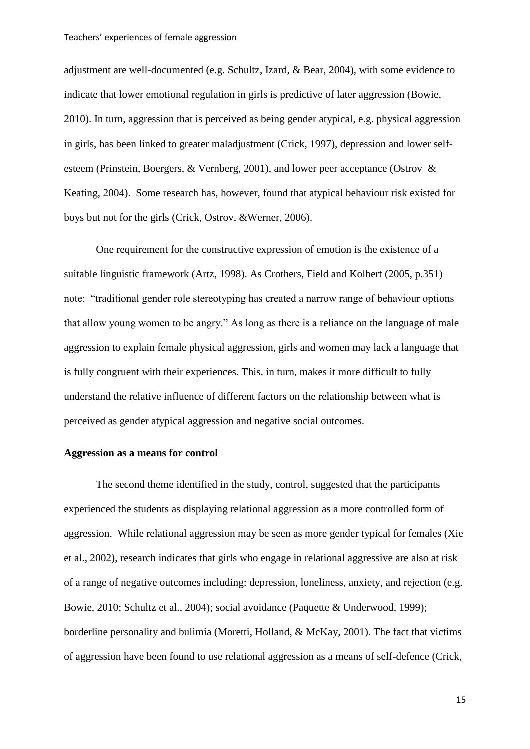adjustment are well-documented (e.g. Schultz, Izard, & Bear, 2004), with some evidence to indicate that lower emotional regulation in girls is predictive of later aggression (Bowie, 2010). In turn, aggression that is perceived as being gender atypical, e.g. physical aggression in girls, has been linked to greater maladjustment (Crick, 1997), depression and lower selfesteem (Prinstein, Boergers, & Vernberg, 2001), and lower peer acceptance (Ostrov & Keating, 2004). Some research has, however, found that atypical behaviour risk existed for boys but not for the girls (Crick, Ostrov, &Werner, 2006).

One requirement for the constructive expression of emotion is the existence of a suitable linguistic framework (Artz, 1998). As Crothers, Field and Kolbert (2005, p.351) note: "traditional gender role stereotyping has created a narrow range of behaviour options that allow young women to be angry." As long as there is a reliance on the language of male aggression to explain female physical aggression, girls and women may lack a language that is fully congruent with their experiences. This, in turn, makes it more difficult to fully understand the relative influence of different factors on the relationship between what is perceived as gender atypical aggression and negative social outcomes.

# **Aggression as a means for control**

 The second theme identified in the study, control, suggested that the participants experienced the students as displaying relational aggression as a more controlled form of aggression. While relational aggression may be seen as more gender typical for females (Xie et al., 2002), research indicates that girls who engage in relational aggressive are also at risk of a range of negative outcomes including: depression, loneliness, anxiety, and rejection (e.g. Bowie, 2010; Schultz et al., 2004); social avoidance (Paquette & Underwood, 1999); borderline personality and bulimia (Moretti, Holland, & McKay, 2001). The fact that victims of aggression have been found to use relational aggression as a means of self-defence (Crick,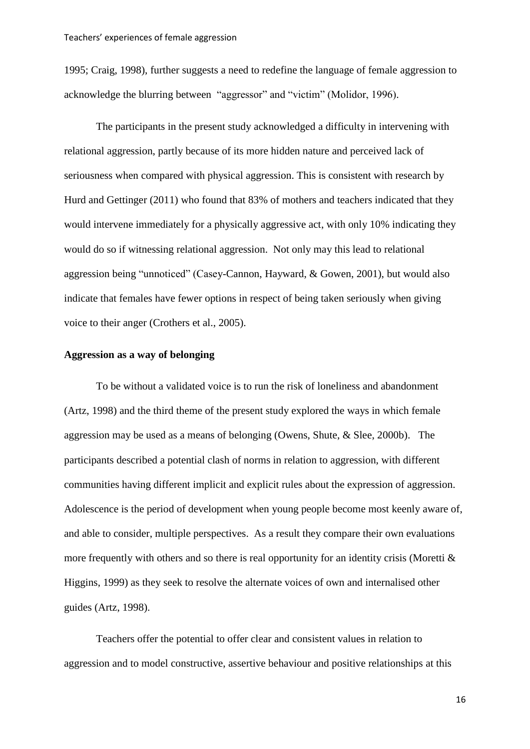1995; Craig, 1998), further suggests a need to redefine the language of female aggression to acknowledge the blurring between "aggressor" and "victim" (Molidor, 1996).

The participants in the present study acknowledged a difficulty in intervening with relational aggression, partly because of its more hidden nature and perceived lack of seriousness when compared with physical aggression. This is consistent with research by Hurd and Gettinger (2011) who found that 83% of mothers and teachers indicated that they would intervene immediately for a physically aggressive act, with only 10% indicating they would do so if witnessing relational aggression. Not only may this lead to relational aggression being "unnoticed" (Casey-Cannon, Hayward, & Gowen, 2001), but would also indicate that females have fewer options in respect of being taken seriously when giving voice to their anger (Crothers et al., 2005).

#### **Aggression as a way of belonging**

To be without a validated voice is to run the risk of loneliness and abandonment (Artz, 1998) and the third theme of the present study explored the ways in which female aggression may be used as a means of belonging (Owens, Shute, & Slee, 2000b). The participants described a potential clash of norms in relation to aggression, with different communities having different implicit and explicit rules about the expression of aggression. Adolescence is the period of development when young people become most keenly aware of, and able to consider, multiple perspectives. As a result they compare their own evaluations more frequently with others and so there is real opportunity for an identity crisis (Moretti  $\&$ Higgins, 1999) as they seek to resolve the alternate voices of own and internalised other guides (Artz, 1998).

Teachers offer the potential to offer clear and consistent values in relation to aggression and to model constructive, assertive behaviour and positive relationships at this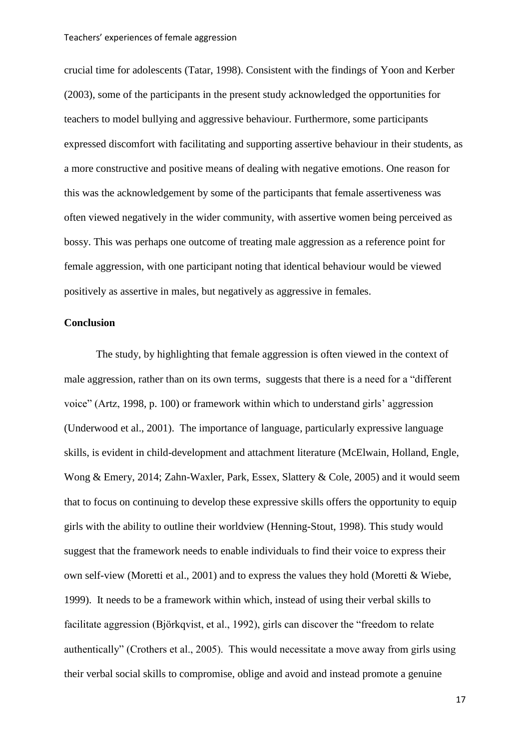crucial time for adolescents (Tatar, 1998). Consistent with the findings of Yoon and Kerber (2003), some of the participants in the present study acknowledged the opportunities for teachers to model bullying and aggressive behaviour. Furthermore, some participants expressed discomfort with facilitating and supporting assertive behaviour in their students, as a more constructive and positive means of dealing with negative emotions. One reason for this was the acknowledgement by some of the participants that female assertiveness was often viewed negatively in the wider community, with assertive women being perceived as bossy. This was perhaps one outcome of treating male aggression as a reference point for female aggression, with one participant noting that identical behaviour would be viewed positively as assertive in males, but negatively as aggressive in females.

#### **Conclusion**

The study, by highlighting that female aggression is often viewed in the context of male aggression, rather than on its own terms, suggests that there is a need for a "different voice" (Artz, 1998, p. 100) or framework within which to understand girls' aggression (Underwood et al., 2001). The importance of language, particularly expressive language skills, is evident in child-development and attachment literature (McElwain, Holland, Engle, Wong & Emery, 2014; Zahn-Waxler, Park, Essex, Slattery & Cole, 2005) and it would seem that to focus on continuing to develop these expressive skills offers the opportunity to equip girls with the ability to outline their worldview (Henning-Stout, 1998). This study would suggest that the framework needs to enable individuals to find their voice to express their own self-view (Moretti et al., 2001) and to express the values they hold (Moretti & Wiebe, 1999). It needs to be a framework within which, instead of using their verbal skills to facilitate aggression (Björkqvist, et al., 1992), girls can discover the "freedom to relate authentically" (Crothers et al., 2005). This would necessitate a move away from girls using their verbal social skills to compromise, oblige and avoid and instead promote a genuine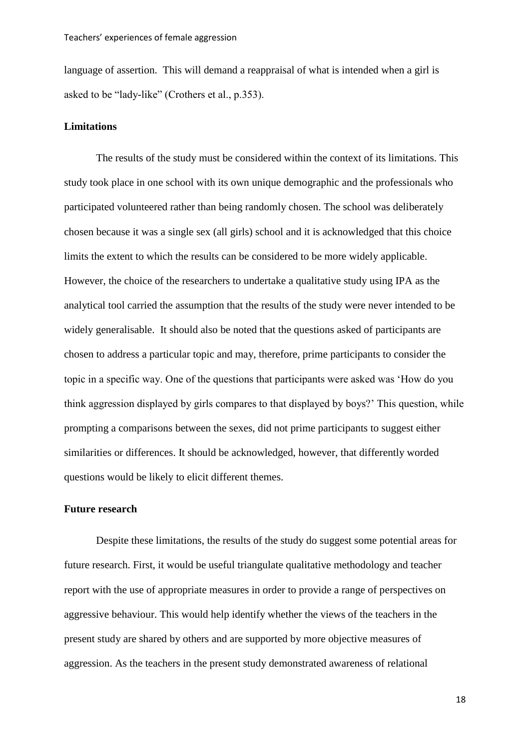language of assertion. This will demand a reappraisal of what is intended when a girl is asked to be "lady-like" (Crothers et al., p.353).

#### **Limitations**

The results of the study must be considered within the context of its limitations. This study took place in one school with its own unique demographic and the professionals who participated volunteered rather than being randomly chosen. The school was deliberately chosen because it was a single sex (all girls) school and it is acknowledged that this choice limits the extent to which the results can be considered to be more widely applicable. However, the choice of the researchers to undertake a qualitative study using IPA as the analytical tool carried the assumption that the results of the study were never intended to be widely generalisable. It should also be noted that the questions asked of participants are chosen to address a particular topic and may, therefore, prime participants to consider the topic in a specific way. One of the questions that participants were asked was 'How do you think aggression displayed by girls compares to that displayed by boys?' This question, while prompting a comparisons between the sexes, did not prime participants to suggest either similarities or differences. It should be acknowledged, however, that differently worded questions would be likely to elicit different themes.

#### **Future research**

Despite these limitations, the results of the study do suggest some potential areas for future research. First, it would be useful triangulate qualitative methodology and teacher report with the use of appropriate measures in order to provide a range of perspectives on aggressive behaviour. This would help identify whether the views of the teachers in the present study are shared by others and are supported by more objective measures of aggression. As the teachers in the present study demonstrated awareness of relational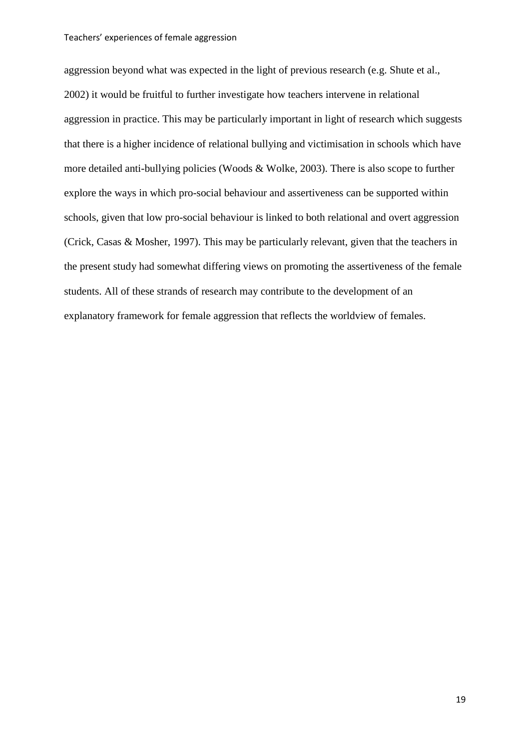aggression beyond what was expected in the light of previous research (e.g. Shute et al., 2002) it would be fruitful to further investigate how teachers intervene in relational aggression in practice. This may be particularly important in light of research which suggests that there is a higher incidence of relational bullying and victimisation in schools which have more detailed anti-bullying policies (Woods & Wolke, 2003). There is also scope to further explore the ways in which pro-social behaviour and assertiveness can be supported within schools, given that low pro-social behaviour is linked to both relational and overt aggression (Crick, Casas & Mosher, 1997). This may be particularly relevant, given that the teachers in the present study had somewhat differing views on promoting the assertiveness of the female students. All of these strands of research may contribute to the development of an explanatory framework for female aggression that reflects the worldview of females.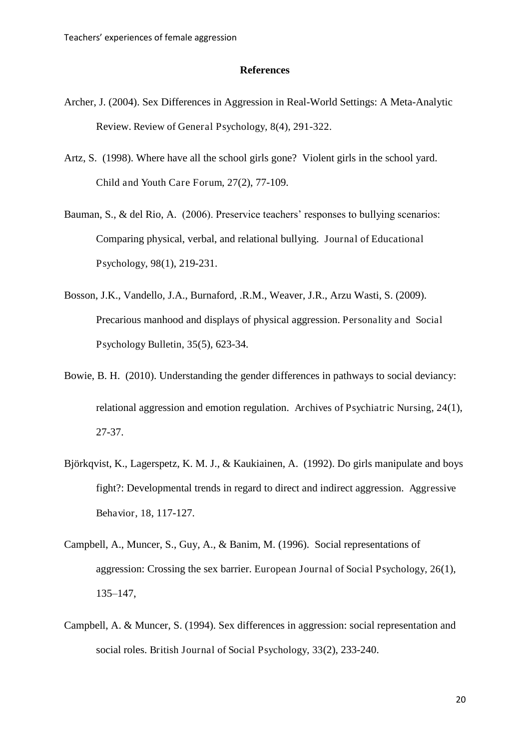#### **References**

- Archer, J. (2004). Sex Differences in Aggression in Real-World Settings: A Meta-Analytic Review. Review of General Psychology, 8(4), 291-322.
- Artz, S. (1998). Where have all the school girls gone? Violent girls in the school yard. Child and Youth Care Forum, 27(2), 77-109.
- Bauman, S., & del Rio, A. (2006). Preservice teachers' responses to bullying scenarios: Comparing physical, verbal, and relational bullying. Journal of Educational Psychology, 98(1), 219-231.
- Bosson, J.K., Vandello, J.A., Burnaford, .R.M., Weaver, J.R., Arzu Wasti, S. (2009). Precarious manhood and displays of physical aggression. Personality and Social Psychology Bulletin, 35(5), 623-34.
- Bowie, B. H. (2010). Understanding the gender differences in pathways to social deviancy: relational aggression and emotion regulation. Archives of Psychiatric Nursing, 24(1), 27-37.
- Björkqvist, K., Lagerspetz, K. M. J., & Kaukiainen, A. (1992). Do girls manipulate and boys fight?: Developmental trends in regard to direct and indirect aggression. Aggressive Behavior, 18, 117-127.
- Campbell, A., Muncer, S., Guy, A., & Banim, M. (1996). Social representations of aggression: Crossing the sex barrier. European Journal of Social Psychology, 26(1), 135–147,
- Campbell, A. & Muncer, S. (1994). Sex differences in aggression: social representation and social roles. British Journal of Social Psychology, 33(2), 233-240.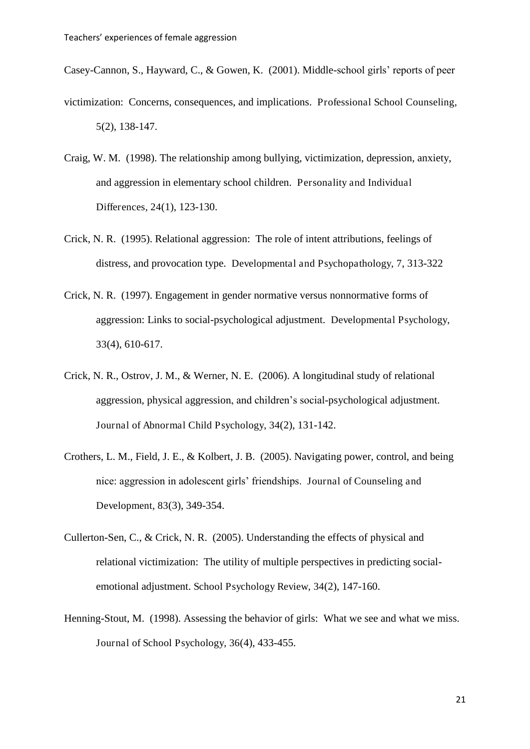Casey-Cannon, S., Hayward, C., & Gowen, K. (2001). Middle-school girls' reports of peer

- victimization: Concerns, consequences, and implications. Professional School Counseling, 5(2), 138-147.
- Craig, W. M. (1998). The relationship among bullying, victimization, depression, anxiety, and aggression in elementary school children. Personality and Individual Differences, 24(1), 123-130.
- Crick, N. R. (1995). Relational aggression: The role of intent attributions, feelings of distress, and provocation type. Developmental and Psychopathology, 7, 313-322
- Crick, N. R. (1997). Engagement in gender normative versus nonnormative forms of aggression: Links to social-psychological adjustment. Developmental Psychology, 33(4), 610-617.
- Crick, N. R., Ostrov, J. M., & Werner, N. E. (2006). A longitudinal study of relational aggression, physical aggression, and children's social-psychological adjustment. Journal of Abnormal Child Psychology, 34(2), 131-142.
- Crothers, L. M., Field, J. E., & Kolbert, J. B. (2005). Navigating power, control, and being nice: aggression in adolescent girls' friendships. Journal of Counseling and Development, 83(3), 349-354.
- Cullerton-Sen, C., & Crick, N. R. (2005). Understanding the effects of physical and relational victimization: The utility of multiple perspectives in predicting socialemotional adjustment. School Psychology Review, 34(2), 147-160.
- Henning-Stout, M. (1998). Assessing the behavior of girls: What we see and what we miss. Journal of School Psychology, 36(4), 433-455.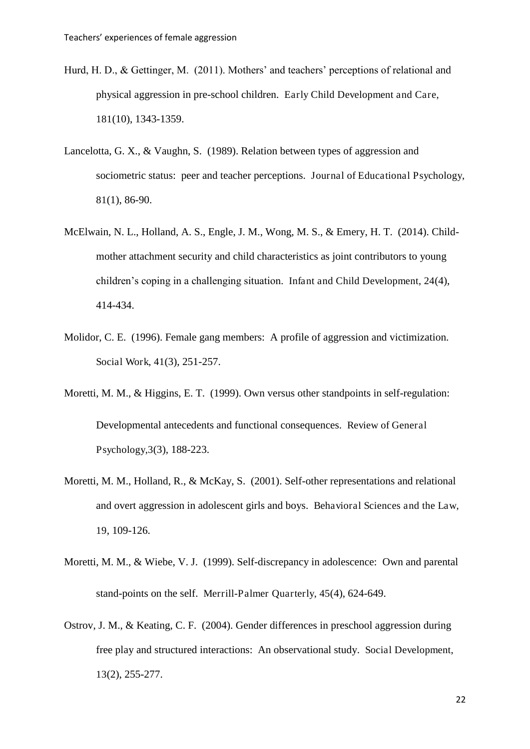- Hurd, H. D., & Gettinger, M. (2011). Mothers' and teachers' perceptions of relational and physical aggression in pre-school children. Early Child Development and Care, 181(10), 1343-1359.
- Lancelotta, G. X., & Vaughn, S. (1989). Relation between types of aggression and sociometric status: peer and teacher perceptions. Journal of Educational Psychology, 81(1), 86-90.
- McElwain, N. L., Holland, A. S., Engle, J. M., Wong, M. S., & Emery, H. T. (2014). Childmother attachment security and child characteristics as joint contributors to young children's coping in a challenging situation. Infant and Child Development, 24(4), 414-434.
- Molidor, C. E. (1996). Female gang members: A profile of aggression and victimization. Social Work, 41(3), 251-257.
- Moretti, M. M., & Higgins, E. T. (1999). Own versus other standpoints in self-regulation: Developmental antecedents and functional consequences. Review of General Psychology,3(3), 188-223.
- Moretti, M. M., Holland, R., & McKay, S. (2001). Self-other representations and relational and overt aggression in adolescent girls and boys. Behavioral Sciences and the Law, 19, 109-126.
- Moretti, M. M., & Wiebe, V. J. (1999). Self-discrepancy in adolescence: Own and parental stand-points on the self. Merrill-Palmer Quarterly, 45(4), 624-649.
- Ostrov, J. M., & Keating, C. F. (2004). Gender differences in preschool aggression during free play and structured interactions: An observational study. Social Development, 13(2), 255-277.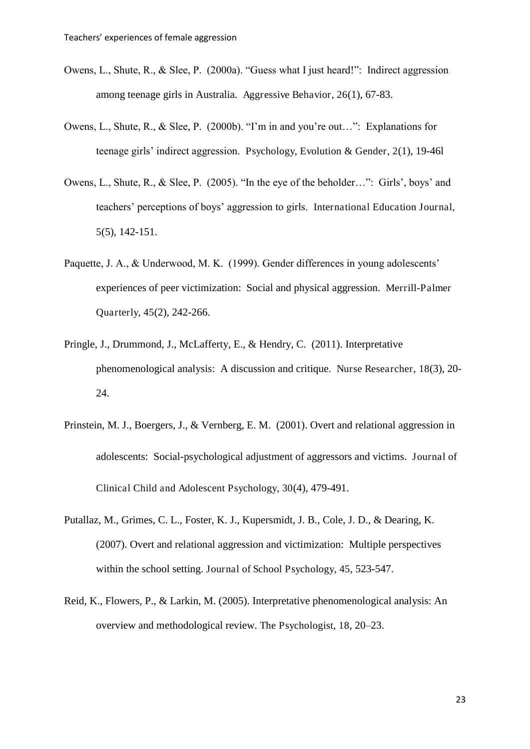- Owens, L., Shute, R., & Slee, P. (2000a). "Guess what I just heard!": Indirect aggression among teenage girls in Australia. Aggressive Behavior, 26(1), 67-83.
- Owens, L., Shute, R., & Slee, P. (2000b). "I'm in and you're out…": Explanations for teenage girls' indirect aggression. Psychology, Evolution & Gender, 2(1), 19-46l
- Owens, L., Shute, R., & Slee, P. (2005). "In the eye of the beholder…": Girls', boys' and teachers' perceptions of boys' aggression to girls. International Education Journal, 5(5), 142-151.
- Paquette, J. A., & Underwood, M. K. (1999). Gender differences in young adolescents' experiences of peer victimization: Social and physical aggression. Merrill-Palmer Quarterly, 45(2), 242-266.
- Pringle, J., Drummond, J., McLafferty, E., & Hendry, C. (2011). Interpretative phenomenological analysis: A discussion and critique. Nurse Researcher, 18(3), 20- 24.
- Prinstein, M. J., Boergers, J., & Vernberg, E. M. (2001). Overt and relational aggression in adolescents: Social-psychological adjustment of aggressors and victims. Journal of Clinical Child and Adolescent Psychology, 30(4), 479-491.
- Putallaz, M., Grimes, C. L., Foster, K. J., Kupersmidt, J. B., Cole, J. D., & Dearing, K. (2007). Overt and relational aggression and victimization: Multiple perspectives within the school setting. Journal of School Psychology, 45, 523-547.
- Reid, K., Flowers, P., & Larkin, M. (2005). Interpretative phenomenological analysis: An overview and methodological review. The Psychologist, 18, 20–23.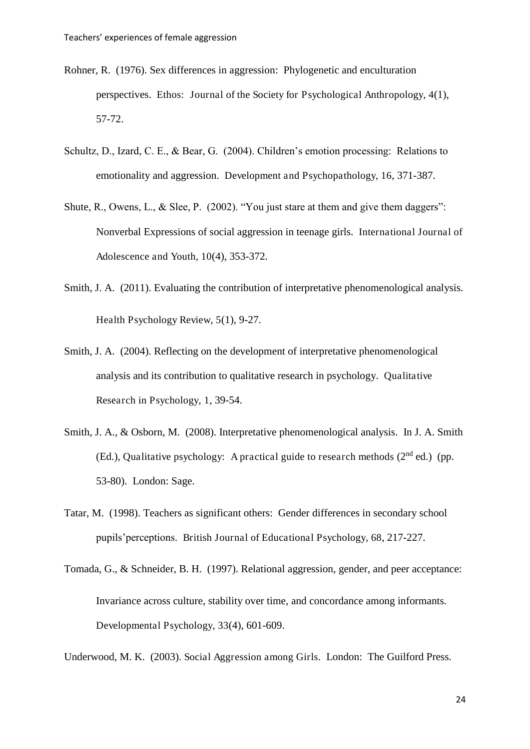- Rohner, R. (1976). Sex differences in aggression: Phylogenetic and enculturation perspectives. Ethos: Journal of the Society for Psychological Anthropology, 4(1), 57-72.
- Schultz, D., Izard, C. E., & Bear, G. (2004). Children's emotion processing: Relations to emotionality and aggression. Development and Psychopathology, 16, 371-387.
- Shute, R., Owens, L., & Slee, P. (2002). "You just stare at them and give them daggers": Nonverbal Expressions of social aggression in teenage girls. International Journal of Adolescence and Youth, 10(4), 353-372.
- Smith, J. A. (2011). Evaluating the contribution of interpretative phenomenological analysis. Health Psychology Review, 5(1), 9-27.
- Smith, J. A. (2004). Reflecting on the development of interpretative phenomenological analysis and its contribution to qualitative research in psychology. Qualitative Research in Psychology, 1, 39-54.
- Smith, J. A., & Osborn, M. (2008). Interpretative phenomenological analysis. In J. A. Smith (Ed.), Qualitative psychology: A practical guide to research methods  $(2^{nd}$  ed.) (pp. 53-80). London: Sage.
- Tatar, M. (1998). Teachers as significant others: Gender differences in secondary school pupils'perceptions. British Journal of Educational Psychology, 68, 217-227.
- Tomada, G., & Schneider, B. H. (1997). Relational aggression, gender, and peer acceptance: Invariance across culture, stability over time, and concordance among informants. Developmental Psychology, 33(4), 601-609.

Underwood, M. K. (2003). Social Aggression among Girls. London: The Guilford Press.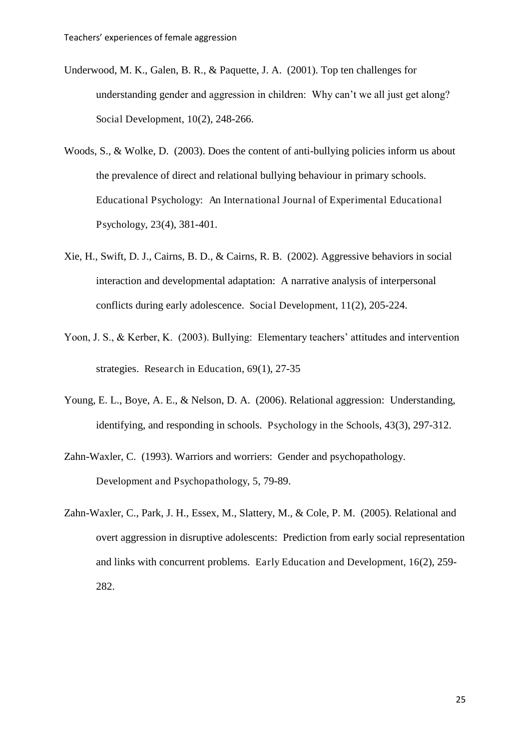- Underwood, M. K., Galen, B. R., & Paquette, J. A. (2001). Top ten challenges for understanding gender and aggression in children: Why can't we all just get along? Social Development, 10(2), 248-266.
- Woods, S., & Wolke, D. (2003). Does the content of anti-bullying policies inform us about the prevalence of direct and relational bullying behaviour in primary schools. Educational Psychology: An International Journal of Experimental Educational Psychology, 23(4), 381-401.
- Xie, H., Swift, D. J., Cairns, B. D., & Cairns, R. B. (2002). Aggressive behaviors in social interaction and developmental adaptation: A narrative analysis of interpersonal conflicts during early adolescence. Social Development, 11(2), 205-224.
- Yoon, J. S., & Kerber, K. (2003). Bullying: Elementary teachers' attitudes and intervention strategies. Research in Education, 69(1), 27-35
- Young, E. L., Boye, A. E., & Nelson, D. A. (2006). Relational aggression: Understanding, identifying, and responding in schools. Psychology in the Schools, 43(3), 297-312.
- Zahn-Waxler, C. (1993). Warriors and worriers: Gender and psychopathology. Development and Psychopathology, 5, 79-89.
- Zahn-Waxler, C., Park, J. H., Essex, M., Slattery, M., & Cole, P. M. (2005). Relational and overt aggression in disruptive adolescents: Prediction from early social representation and links with concurrent problems. Early Education and Development, 16(2), 259- 282.